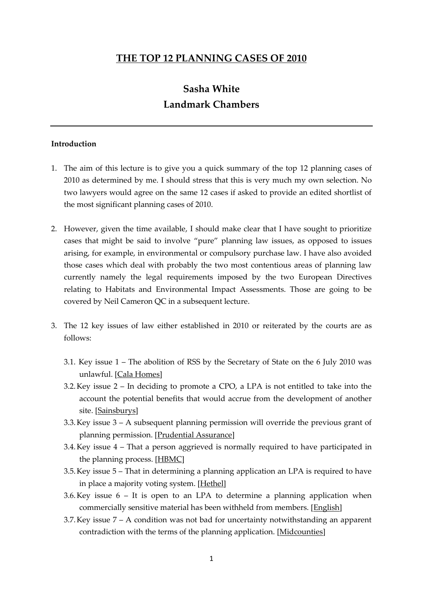### **THE TOP 12 PLANNING CASES OF 2010**

# **Sasha White Landmark Chambers**

#### **Introduction**

- 1. The aim of this lecture is to give you a quick summary of the top 12 planning cases of 2010 as determined by me. I should stress that this is very much my own selection. No two lawyers would agree on the same 12 cases if asked to provide an edited shortlist of the most significant planning cases of 2010.
- 2. However, given the time available, I should make clear that I have sought to prioritize cases that might be said to involve 'pure' planning law issues, as opposed to issues arising, for example, in environmental or compulsory purchase law. I have also avoided those cases which deal with probably the two most contentious areas of planning law currently namely the legal requirements imposed by the two European Directives relating to Habitats and Environmental Impact Assessments. Those are going to be covered by Neil Cameron QC in a subsequent lecture.
- 3. The 12 key issues of law either established in 2010 or reiterated by the courts are as follows:
	- 3.1. Key issue 1 The abolition of RSS by the Secretary of State on the 6 July 2010 was unlawful. [Cala Homes]
	- 3.2.Key issue 2 In deciding to promote a CPO, a LPA is not entitled to take into the account the potential benefits that would accrue from the development of another site. [Sainsburys]
	- 3.3.Key issue 3 A subsequent planning permission will override the previous grant of planning permission. [Prudential Assurance]
	- 3.4.Key issue 4 That a person aggrieved is normally required to have participated in the planning process. [HBMC]
	- 3.5.Key issue 5 That in determining a planning application an LPA is required to have in place a majority voting system. [Hethel]
	- 3.6. Key issue  $6 It$  is open to an LPA to determine a planning application when commercially sensitive material has been withheld from members. [English]
	- 3.7.Key issue 7 A condition was not bad for uncertainty notwithstanding an apparent contradiction with the terms of the planning application. [Midcounties]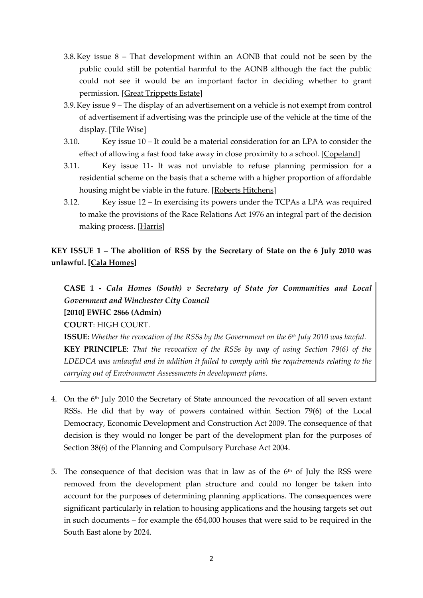- 3.8.Key issue 8 That development within an AONB that could not be seen by the public could still be potential harmful to the AONB although the fact the public could not see it would be an important factor in deciding whether to grant permission. [Great Trippetts Estate]
- 3.9.Key issue 9 The display of an advertisement on a vehicle is not exempt from control of advertisement if advertising was the principle use of the vehicle at the time of the display. [Tile Wise]
- 3.10. Key issue 10 It could be a material consideration for an LPA to consider the effect of allowing a fast food take away in close proximity to a school. [Copeland]
- 3.11. Key issue 11- It was not unviable to refuse planning permission for a residential scheme on the basis that a scheme with a higher proportion of affordable housing might be viable in the future. [Roberts Hitchens]
- 3.12. Key issue 12 In exercising its powers under the TCPAs a LPA was required to make the provisions of the Race Relations Act 1976 an integral part of the decision making process. [Harris]

### **KEY ISSUE 1 – The abolition of RSS by the Secretary of State on the 6 July 2010 was unlawful. [Cala Homes]**

**CASE 1 -** *Cala Homes (South) v Secretary of State for Communities and Local Government and Winchester City Council* **[2010] EWHC 2866 (Admin)**

**COURT**: HIGH COURT.

**ISSUE:** *Whether the revocation of the RSSs by the Government on the 6th July 2010 was lawful.* **KEY PRINCIPLE**: *That the revocation of the RSSs by way of using Section 79(6) of the LDEDCA was unlawful and in addition it failed to comply with the requirements relating to the carrying out of Environment Assessments in development plans.*

- 4. On the 6th July 2010 the Secretary of State announced the revocation of all seven extant RSSs. He did that by way of powers contained within Section 79(6) of the Local Democracy, Economic Development and Construction Act 2009. The consequence of that decision is they would no longer be part of the development plan for the purposes of Section 38(6) of the Planning and Compulsory Purchase Act 2004.
- 5. The consequence of that decision was that in law as of the  $6<sup>th</sup>$  of July the RSS were removed from the development plan structure and could no longer be taken into account for the purposes of determining planning applications. The consequences were significant particularly in relation to housing applications and the housing targets set out in such documents – for example the 654,000 houses that were said to be required in the South East alone by 2024.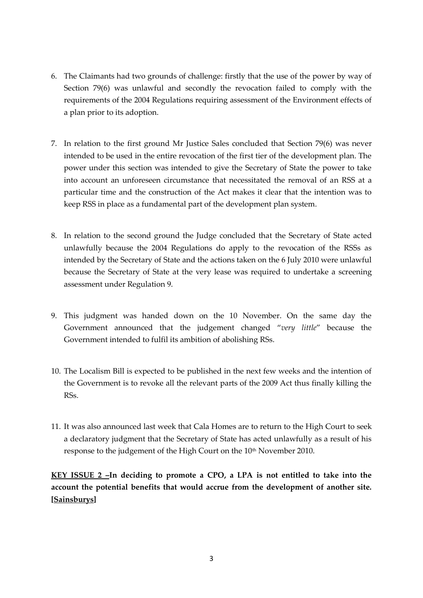- 6. The Claimants had two grounds of challenge: firstly that the use of the power by way of Section 79(6) was unlawful and secondly the revocation failed to comply with the requirements of the 2004 Regulations requiring assessment of the Environment effects of a plan prior to its adoption.
- 7. In relation to the first ground Mr Justice Sales concluded that Section 79(6) was never intended to be used in the entire revocation of the first tier of the development plan. The power under this section was intended to give the Secretary of State the power to take into account an unforeseen circumstance that necessitated the removal of an RSS at a particular time and the construction of the Act makes it clear that the intention was to keep RSS in place as a fundamental part of the development plan system.
- 8. In relation to the second ground the Judge concluded that the Secretary of State acted unlawfully because the 2004 Regulations do apply to the revocation of the RSSs as intended by the Secretary of State and the actions taken on the 6 July 2010 were unlawful because the Secretary of State at the very lease was required to undertake a screening assessment under Regulation 9.
- 9. This judgment was handed down on the 10 November. On the same day the Government announced that the judgement changed '*very little*' because the Government intended to fulfil its ambition of abolishing RSs.
- 10. The Localism Bill is expected to be published in the next few weeks and the intention of the Government is to revoke all the relevant parts of the 2009 Act thus finally killing the RSs.
- 11. It was also announced last week that Cala Homes are to return to the High Court to seek a declaratory judgment that the Secretary of State has acted unlawfully as a result of his response to the judgement of the High Court on the 10<sup>th</sup> November 2010.

**KEY ISSUE 2 –In deciding to promote a CPO, a LPA is not entitled to take into the account the potential benefits that would accrue from the development of another site. [Sainsburys]**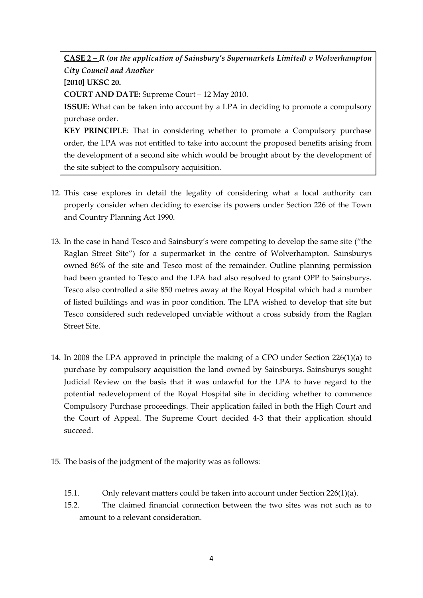**CASE 2 –** *R (on the application of Sainsbury's Supermarkets Limited) v Wolverhampton City Council and Another* **[2010] UKSC 20.**

**COURT AND DATE:** Supreme Court – 12 May 2010.

**ISSUE:** What can be taken into account by a LPA in deciding to promote a compulsory purchase order.

**KEY PRINCIPLE**: That in considering whether to promote a Compulsory purchase order, the LPA was not entitled to take into account the proposed benefits arising from the development of a second site which would be brought about by the development of the site subject to the compulsory acquisition.

- 12. This case explores in detail the legality of considering what a local authority can properly consider when deciding to exercise its powers under Section 226 of the Town and Country Planning Act 1990.
- 13. In the case in hand Tesco and Sainsbury's were competing to develop the same site ('the Raglan Street Site') for a supermarket in the centre of Wolverhampton. Sainsburys owned 86% of the site and Tesco most of the remainder. Outline planning permission had been granted to Tesco and the LPA had also resolved to grant OPP to Sainsburys. Tesco also controlled a site 850 metres away at the Royal Hospital which had a number of listed buildings and was in poor condition. The LPA wished to develop that site but Tesco considered such redeveloped unviable without a cross subsidy from the Raglan Street Site.
- 14. In 2008 the LPA approved in principle the making of a CPO under Section 226(1)(a) to purchase by compulsory acquisition the land owned by Sainsburys. Sainsburys sought Judicial Review on the basis that it was unlawful for the LPA to have regard to the potential redevelopment of the Royal Hospital site in deciding whether to commence Compulsory Purchase proceedings. Their application failed in both the High Court and the Court of Appeal. The Supreme Court decided 4-3 that their application should succeed.
- 15. The basis of the judgment of the majority was as follows:
	- 15.1. Only relevant matters could be taken into account under Section 226(1)(a).
	- 15.2. The claimed financial connection between the two sites was not such as to amount to a relevant consideration.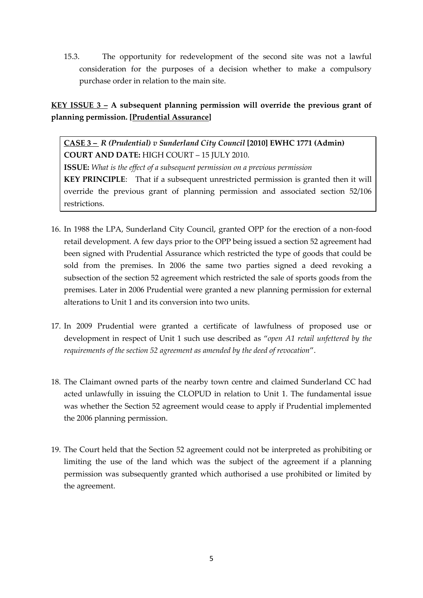15.3. The opportunity for redevelopment of the second site was not a lawful consideration for the purposes of a decision whether to make a compulsory purchase order in relation to the main site.

# **KEY ISSUE 3 – A subsequent planning permission will override the previous grant of planning permission. [Prudential Assurance]**

**CASE 3 –** *R (Prudential) v Sunderland City Council* **[2010] EWHC 1771 (Admin) COURT AND DATE:** HIGH COURT – 15 JULY 2010. **ISSUE:** *What is the effect of a subsequent permission on a previous permission* **KEY PRINCIPLE**: That if a subsequent unrestricted permission is granted then it will override the previous grant of planning permission and associated section 52/106 restrictions.

- 16. In 1988 the LPA, Sunderland City Council, granted OPP for the erection of a non-food retail development. A few days prior to the OPP being issued a section 52 agreement had been signed with Prudential Assurance which restricted the type of goods that could be sold from the premises. In 2006 the same two parties signed a deed revoking a subsection of the section 52 agreement which restricted the sale of sports goods from the premises. Later in 2006 Prudential were granted a new planning permission for external alterations to Unit 1 and its conversion into two units.
- 17. In 2009 Prudential were granted a certificate of lawfulness of proposed use or development in respect of Unit 1 such use described as '*open A1 retail unfettered by the requirements of the section 52 agreement as amended by the deed of revocation*'.
- 18. The Claimant owned parts of the nearby town centre and claimed Sunderland CC had acted unlawfully in issuing the CLOPUD in relation to Unit 1. The fundamental issue was whether the Section 52 agreement would cease to apply if Prudential implemented the 2006 planning permission.
- 19. The Court held that the Section 52 agreement could not be interpreted as prohibiting or limiting the use of the land which was the subject of the agreement if a planning permission was subsequently granted which authorised a use prohibited or limited by the agreement.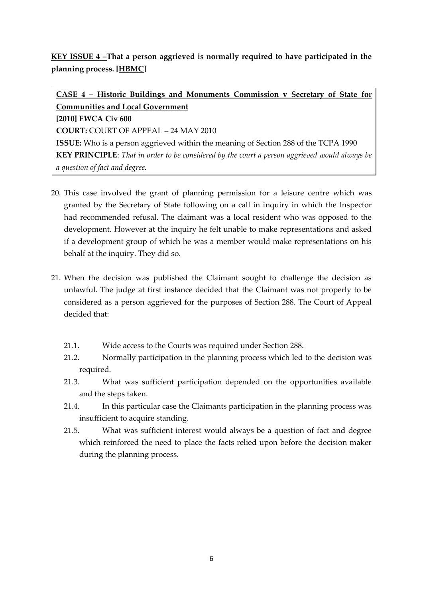# **KEY ISSUE 4 –That a person aggrieved is normally required to have participated in the planning process. [HBMC]**

**CASE 4 – Historic Buildings and Monuments Commission v Secretary of State for Communities and Local Government [2010] EWCA Civ 600 COURT:** COURT OF APPEAL – 24 MAY 2010 **ISSUE:** Who is a person aggrieved within the meaning of Section 288 of the TCPA 1990 **KEY PRINCIPLE**: *That in order to be considered by the court a person aggrieved would always be a question of fact and degree.*

- 20. This case involved the grant of planning permission for a leisure centre which was granted by the Secretary of State following on a call in inquiry in which the Inspector had recommended refusal. The claimant was a local resident who was opposed to the development. However at the inquiry he felt unable to make representations and asked if a development group of which he was a member would make representations on his behalf at the inquiry. They did so.
- 21. When the decision was published the Claimant sought to challenge the decision as unlawful. The judge at first instance decided that the Claimant was not properly to be considered as a person aggrieved for the purposes of Section 288. The Court of Appeal decided that:
	- 21.1. Wide access to the Courts was required under Section 288.
	- 21.2. Normally participation in the planning process which led to the decision was required.
	- 21.3. What was sufficient participation depended on the opportunities available and the steps taken.
	- 21.4. In this particular case the Claimants participation in the planning process was insufficient to acquire standing.
	- 21.5. What was sufficient interest would always be a question of fact and degree which reinforced the need to place the facts relied upon before the decision maker during the planning process.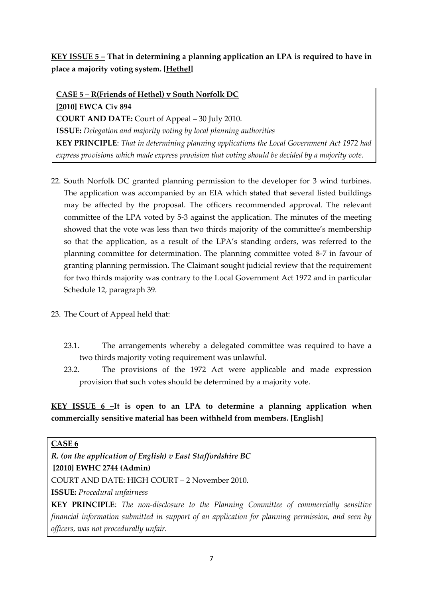# **KEY ISSUE 5 – That in determining a planning application an LPA is required to have in place a majority voting system. [Hethel]**

**CASE 5 – R(Friends of Hethel) v South Norfolk DC [2010] EWCA Civ 894 COURT AND DATE:** Court of Appeal – 30 July 2010. **ISSUE:** *Delegation and majority voting by local planning authorities* **KEY PRINCIPLE**: *That in determining planning applications the Local Government Act 1972 had express provisions which made express provision that voting should be decided by a majority vote.*

- 22. South Norfolk DC granted planning permission to the developer for 3 wind turbines. The application was accompanied by an EIA which stated that several listed buildings may be affected by the proposal. The officers recommended approval. The relevant committee of the LPA voted by 5-3 against the application. The minutes of the meeting showed that the vote was less than two thirds majority of the committee's membership so that the application, as a result of the LPA's standing orders, was referred to the planning committee for determination. The planning committee voted 8-7 in favour of granting planning permission. The Claimant sought judicial review that the requirement for two thirds majority was contrary to the Local Government Act 1972 and in particular Schedule 12, paragraph 39.
- 23. The Court of Appeal held that:
	- 23.1. The arrangements whereby a delegated committee was required to have a two thirds majority voting requirement was unlawful.
	- 23.2. The provisions of the 1972 Act were applicable and made expression provision that such votes should be determined by a majority vote.

**KEY ISSUE 6 –It is open to an LPA to determine a planning application when commercially sensitive material has been withheld from members. [English]**

#### **CASE 6**

*R. (on the application of English) v East Staffordshire BC*

### **[2010] EWHC 2744 (Admin)**

COURT AND DATE: HIGH COURT – 2 November 2010.

**ISSUE:** *Procedural unfairness*

**KEY PRINCIPLE**: *The non-disclosure to the Planning Committee of commercially sensitive financial information submitted in support of an application for planning permission, and seen by officers, was not procedurally unfair.*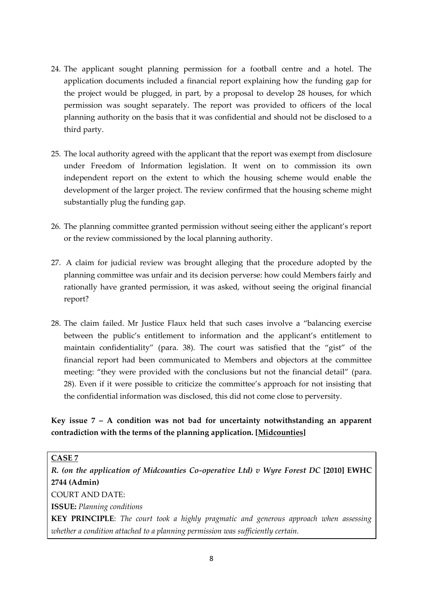- 24. The applicant sought planning permission for a football centre and a hotel. The application documents included a financial report explaining how the funding gap for the project would be plugged, in part, by a proposal to develop 28 houses, for which permission was sought separately. The report was provided to officers of the local planning authority on the basis that it was confidential and should not be disclosed to a third party.
- 25. The local authority agreed with the applicant that the report was exempt from disclosure under Freedom of Information legislation. It went on to commission its own independent report on the extent to which the housing scheme would enable the development of the larger project. The review confirmed that the housing scheme might substantially plug the funding gap.
- 26. The planning committee granted permission without seeing either the applicant's report or the review commissioned by the local planning authority.
- 27. A claim for judicial review was brought alleging that the procedure adopted by the planning committee was unfair and its decision perverse: how could Members fairly and rationally have granted permission, it was asked, without seeing the original financial report?
- 28. The claim failed. Mr Justice Flaux held that such cases involve a 'balancing exercise between the public's entitlement to information and the applicant's entitlement to maintain confidentiality' (para. 38). The court was satisfied that the 'gist' of the financial report had been communicated to Members and objectors at the committee meeting: "they were provided with the conclusions but not the financial detail" (para. 28). Even if it were possible to criticize the committee's approach for not insisting that the confidential information was disclosed, this did not come close to perversity.

# **Key issue 7 – A condition was not bad for uncertainty notwithstanding an apparent contradiction with the terms of the planning application. [Midcounties]**

#### **CASE 7**

*R. (on the application of Midcounties Co-operative Ltd) v Wyre Forest DC* **[2010] EWHC 2744 (Admin)** COURT AND DATE: **ISSUE:** *Planning conditions*

**KEY PRINCIPLE**: *The court took a highly pragmatic and generous approach when assessing whether a condition attached to a planning permission was sufficiently certain.*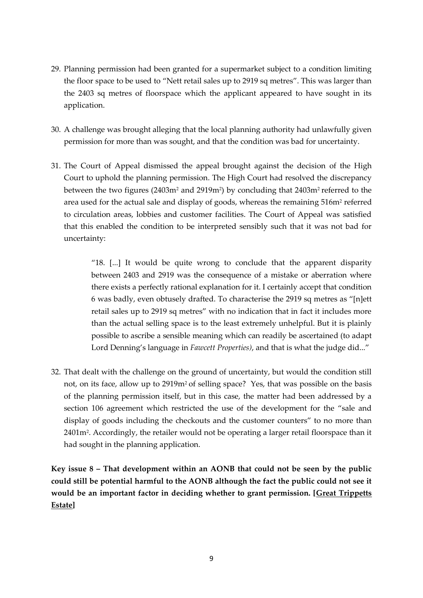- 29. Planning permission had been granted for a supermarket subject to a condition limiting the floor space to be used to 'Nett retail sales up to 2919 sq metres'. This was larger than the 2403 sq metres of floorspace which the applicant appeared to have sought in its application.
- 30. A challenge was brought alleging that the local planning authority had unlawfully given permission for more than was sought, and that the condition was bad for uncertainty.
- 31. The Court of Appeal dismissed the appeal brought against the decision of the High Court to uphold the planning permission. The High Court had resolved the discrepancy between the two figures (2403m<sup>2</sup> and 2919m<sup>2</sup>) by concluding that 2403m<sup>2</sup> referred to the area used for the actual sale and display of goods, whereas the remaining 516m<sup>2</sup> referred to circulation areas, lobbies and customer facilities. The Court of Appeal was satisfied that this enabled the condition to be interpreted sensibly such that it was not bad for uncertainty:

"18.  $\left[ \ldots \right]$  It would be quite wrong to conclude that the apparent disparity between 2403 and 2919 was the consequence of a mistake or aberration where there exists a perfectly rational explanation for it. I certainly accept that condition 6 was badly, even obtusely drafted. To characterise the  $2919$  sq metres as "[n]ett retail sales up to 2919 sq metres' with no indication that in fact it includes more than the actual selling space is to the least extremely unhelpful. But it is plainly possible to ascribe a sensible meaning which can readily be ascertained (to adapt Lord Denning's language in *Fawcett Properties)*, and that is what the judge did...'

32. That dealt with the challenge on the ground of uncertainty, but would the condition still not, on its face, allow up to 2919m2 of selling space? Yes, that was possible on the basis of the planning permission itself, but in this case, the matter had been addressed by a section 106 agreement which restricted the use of the development for the "sale and display of goods including the checkouts and the customer counters' to no more than 2401m<sup>2</sup> . Accordingly, the retailer would not be operating a larger retail floorspace than it had sought in the planning application.

**Key issue 8 – That development within an AONB that could not be seen by the public could still be potential harmful to the AONB although the fact the public could not see it would be an important factor in deciding whether to grant permission. [Great Trippetts Estate]**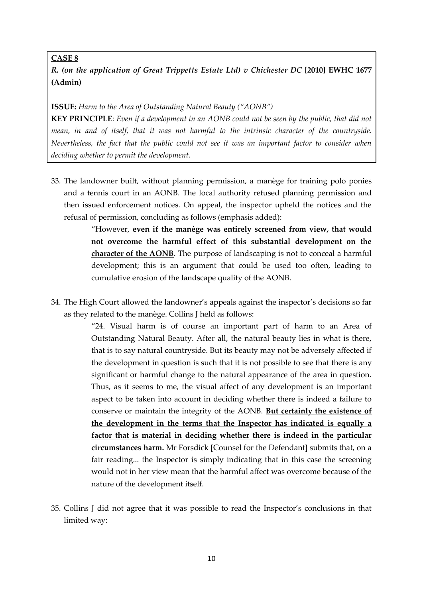### **CASE 8**

*R. (on the application of Great Trippetts Estate Ltd) v Chichester DC* **[2010] EWHC 1677 (Admin)**

#### **ISSUE:** *Harm to the Area of Outstanding Natural Beauty ('AONB')*

**KEY PRINCIPLE**: *Even if a development in an AONB could not be seen by the public, that did not mean, in and of itself, that it was not harmful to the intrinsic character of the countryside. Nevertheless, the fact that the public could not see it was an important factor to consider when deciding whether to permit the development.* 

33. The landowner built, without planning permission, a manège for training polo ponies and a tennis court in an AONB. The local authority refused planning permission and then issued enforcement notices. On appeal, the inspector upheld the notices and the refusal of permission, concluding as follows (emphasis added):

> 'However, **even if the manège was entirely screened from view, that would not overcome the harmful effect of this substantial development on the character of the AONB**. The purpose of landscaping is not to conceal a harmful development; this is an argument that could be used too often, leading to cumulative erosion of the landscape quality of the AONB.

34. The High Court allowed the landowner's appeals against the inspector's decisions so far as they related to the manège. Collins J held as follows:

> '24. Visual harm is of course an important part of harm to an Area of Outstanding Natural Beauty. After all, the natural beauty lies in what is there, that is to say natural countryside. But its beauty may not be adversely affected if the development in question is such that it is not possible to see that there is any significant or harmful change to the natural appearance of the area in question. Thus, as it seems to me, the visual affect of any development is an important aspect to be taken into account in deciding whether there is indeed a failure to conserve or maintain the integrity of the AONB. **But certainly the existence of the development in the terms that the Inspector has indicated is equally a factor that is material in deciding whether there is indeed in the particular circumstances harm.** Mr Forsdick [Counsel for the Defendant] submits that, on a fair reading... the Inspector is simply indicating that in this case the screening would not in her view mean that the harmful affect was overcome because of the nature of the development itself.

35. Collins J did not agree that it was possible to read the Inspector's conclusions in that limited way: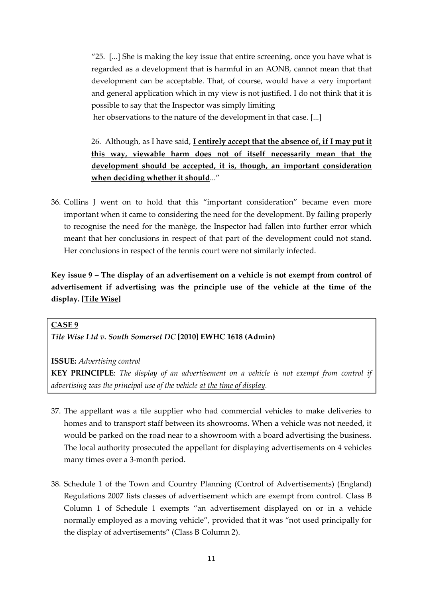'25. [...] She is making the key issue that entire screening, once you have what is regarded as a development that is harmful in an AONB, cannot mean that that development can be acceptable. That, of course, would have a very important and general application which in my view is not justified. I do not think that it is possible to say that the Inspector was simply limiting her observations to the nature of the development in that case. [...]

26. Although, as I have said, **I entirely accept that the absence of, if I may put it** 

**this way, viewable harm does not of itself necessarily mean that the development should be accepted, it is, though, an important consideration when deciding whether it should**...'

36. Collins J went on to hold that this 'important consideration' became even more important when it came to considering the need for the development. By failing properly to recognise the need for the manège, the Inspector had fallen into further error which meant that her conclusions in respect of that part of the development could not stand. Her conclusions in respect of the tennis court were not similarly infected.

**Key issue 9 – The display of an advertisement on a vehicle is not exempt from control of advertisement if advertising was the principle use of the vehicle at the time of the display. [Tile Wise]**

#### **CASE 9**

*Tile Wise Ltd v. South Somerset DC* **[2010] EWHC 1618 (Admin)**

**ISSUE:** *Advertising control*

**KEY PRINCIPLE**: *The display of an advertisement on a vehicle is not exempt from control if advertising was the principal use of the vehicle at the time of display.* 

- 37. The appellant was a tile supplier who had commercial vehicles to make deliveries to homes and to transport staff between its showrooms. When a vehicle was not needed, it would be parked on the road near to a showroom with a board advertising the business. The local authority prosecuted the appellant for displaying advertisements on 4 vehicles many times over a 3-month period.
- 38. Schedule 1 of the Town and Country Planning (Control of Advertisements) (England) Regulations 2007 lists classes of advertisement which are exempt from control. Class B Column 1 of Schedule 1 exempts 'an advertisement displayed on or in a vehicle normally employed as a moving vehicle', provided that it was 'not used principally for the display of advertisements' (Class B Column 2).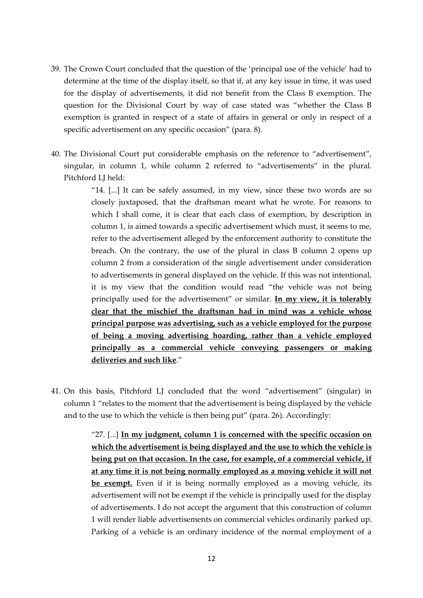- 39. The Crown Court concluded that the question of the 'principal use of the vehicle' had to determine at the time of the display itself, so that if, at any key issue in time, it was used for the display of advertisements, it did not benefit from the Class B exemption. The question for the Divisional Court by way of case stated was 'whether the Class B exemption is granted in respect of a state of affairs in general or only in respect of a specific advertisement on any specific occasion" (para. 8).
- 40. The Divisional Court put considerable emphasis on the reference to 'advertisement', singular, in column 1, while column 2 referred to 'advertisements' in the plural. Pitchford LJ held:

"14.  $[...]$  It can be safely assumed, in my view, since these two words are so closely juxtaposed, that the draftsman meant what he wrote. For reasons to which I shall come, it is clear that each class of exemption, by description in column 1, is aimed towards a specific advertisement which must, it seems to me, refer to the advertisement alleged by the enforcement authority to constitute the breach. On the contrary, the use of the plural in class B column 2 opens up column 2 from a consideration of the single advertisement under consideration to advertisements in general displayed on the vehicle. If this was not intentional, it is my view that the condition would read 'the vehicle was not being principally used for the advertisement' or similar. **In my view, it is tolerably clear that the mischief the draftsman had in mind was a vehicle whose principal purpose was advertising, such as a vehicle employed for the purpose of being a moving advertising hoarding, rather than a vehicle employed principally as a commercial vehicle conveying passengers or making deliveries and such like**.'

41. On this basis, Pitchford LJ concluded that the word 'advertisement' (singular) in column 1 'relates to the moment that the advertisement is being displayed by the vehicle and to the use to which the vehicle is then being put' (para. 26). Accordingly:

> '27. [...] **In my judgment, column 1 is concerned with the specific occasion on which the advertisement is being displayed and the use to which the vehicle is being put on that occasion. In the case, for example, of a commercial vehicle, if at any time it is not being normally employed as a moving vehicle it will not be exempt.** Even if it is being normally employed as a moving vehicle, its advertisement will not be exempt if the vehicle is principally used for the display of advertisements. I do not accept the argument that this construction of column 1 will render liable advertisements on commercial vehicles ordinarily parked up. Parking of a vehicle is an ordinary incidence of the normal employment of a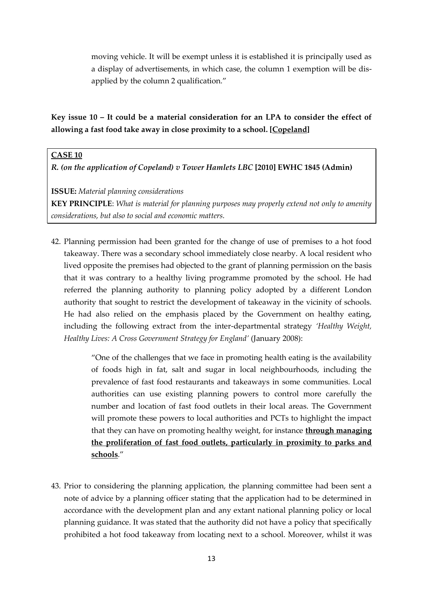moving vehicle. It will be exempt unless it is established it is principally used as a display of advertisements, in which case, the column 1 exemption will be disapplied by the column 2 qualification.'

**Key issue 10 – It could be a material consideration for an LPA to consider the effect of allowing a fast food take away in close proximity to a school. [Copeland]**

### **CASE 10**

*R. (on the application of Copeland) v Tower Hamlets LBC* **[2010] EWHC 1845 (Admin)**

**ISSUE:** *Material planning considerations*

**KEY PRINCIPLE**: *What is material for planning purposes may properly extend not only to amenity considerations, but also to social and economic matters.* 

42. Planning permission had been granted for the change of use of premises to a hot food takeaway. There was a secondary school immediately close nearby. A local resident who lived opposite the premises had objected to the grant of planning permission on the basis that it was contrary to a healthy living programme promoted by the school. He had referred the planning authority to planning policy adopted by a different London authority that sought to restrict the development of takeaway in the vicinity of schools. He had also relied on the emphasis placed by the Government on healthy eating, including the following extract from the inter-departmental strategy *'Healthy Weight, Healthy Lives: A Cross Government Strategy for England'* (January 2008):

> 'One of the challenges that we face in promoting health eating is the availability of foods high in fat, salt and sugar in local neighbourhoods, including the prevalence of fast food restaurants and takeaways in some communities. Local authorities can use existing planning powers to control more carefully the number and location of fast food outlets in their local areas. The Government will promote these powers to local authorities and PCTs to highlight the impact that they can have on promoting healthy weight, for instance **through managing the proliferation of fast food outlets, particularly in proximity to parks and schools**.'

43. Prior to considering the planning application, the planning committee had been sent a note of advice by a planning officer stating that the application had to be determined in accordance with the development plan and any extant national planning policy or local planning guidance. It was stated that the authority did not have a policy that specifically prohibited a hot food takeaway from locating next to a school. Moreover, whilst it was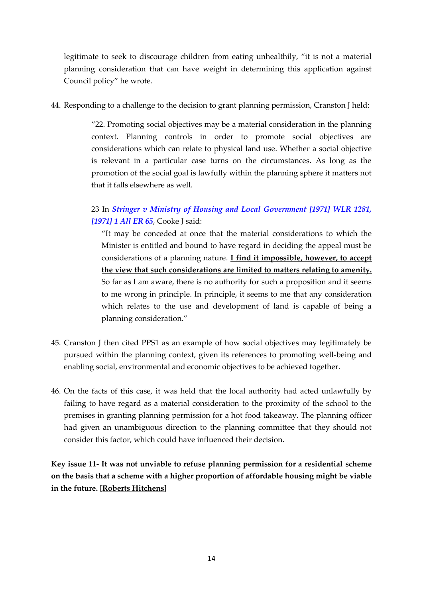legitimate to seek to discourage children from eating unhealthily, "it is not a material planning consideration that can have weight in determining this application against Council policy' he wrote.

44. Responding to a challenge to the decision to grant planning permission, Cranston J held:

'22. Promoting social objectives may be a material consideration in the planning context. Planning controls in order to promote social objectives are considerations which can relate to physical land use. Whether a social objective is relevant in a particular case turns on the circumstances. As long as the promotion of the social goal is lawfully within the planning sphere it matters not that it falls elsewhere as well.

### 23 In *[Stringer v Ministry of Housing and Local Government \[1971\] WLR 1281,](http://login.westlaw.co.uk/maf/wluk/app/document?src=doc&linktype=ref&&context=44&crumb-action=replace&docguid=IC5EC3F70E42811DA8FC2A0F0355337E9)  [\[1971\] 1 All ER 65](http://login.westlaw.co.uk/maf/wluk/app/document?src=doc&linktype=ref&&context=44&crumb-action=replace&docguid=IC5EC3F70E42811DA8FC2A0F0355337E9)*, Cooke J said:

'It may be conceded at once that the material considerations to which the Minister is entitled and bound to have regard in deciding the appeal must be considerations of a planning nature. **I find it impossible, however, to accept the view that such considerations are limited to matters relating to amenity.** So far as I am aware, there is no authority for such a proposition and it seems to me wrong in principle. In principle, it seems to me that any consideration which relates to the use and development of land is capable of being a planning consideration.'

- 45. Cranston J then cited PPS1 as an example of how social objectives may legitimately be pursued within the planning context, given its references to promoting well-being and enabling social, environmental and economic objectives to be achieved together.
- 46. On the facts of this case, it was held that the local authority had acted unlawfully by failing to have regard as a material consideration to the proximity of the school to the premises in granting planning permission for a hot food takeaway. The planning officer had given an unambiguous direction to the planning committee that they should not consider this factor, which could have influenced their decision.

**Key issue 11- It was not unviable to refuse planning permission for a residential scheme on the basis that a scheme with a higher proportion of affordable housing might be viable in the future. [Roberts Hitchens]**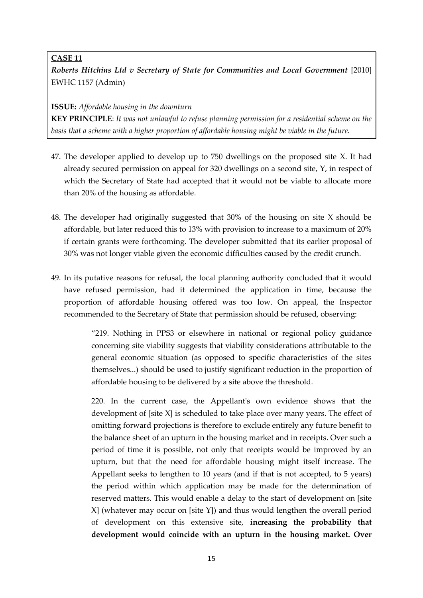### **CASE 11**

*Roberts Hitchins Ltd v Secretary of State for Communities and Local Government* [2010] EWHC 1157 (Admin)

**ISSUE:** *Affordable housing in the downturn*

**KEY PRINCIPLE**: *It was not unlawful to refuse planning permission for a residential scheme on the basis that a scheme with a higher proportion of affordable housing might be viable in the future.*

- 47. The developer applied to develop up to 750 dwellings on the proposed site X. It had already secured permission on appeal for 320 dwellings on a second site, Y, in respect of which the Secretary of State had accepted that it would not be viable to allocate more than 20% of the housing as affordable.
- 48. The developer had originally suggested that 30% of the housing on site X should be affordable, but later reduced this to 13% with provision to increase to a maximum of 20% if certain grants were forthcoming. The developer submitted that its earlier proposal of 30% was not longer viable given the economic difficulties caused by the credit crunch.
- 49. In its putative reasons for refusal, the local planning authority concluded that it would have refused permission, had it determined the application in time, because the proportion of affordable housing offered was too low. On appeal, the Inspector recommended to the Secretary of State that permission should be refused, observing:

'219. Nothing in PPS3 or elsewhere in national or regional policy guidance concerning site viability suggests that viability considerations attributable to the general economic situation (as opposed to specific characteristics of the sites themselves...) should be used to justify significant reduction in the proportion of affordable housing to be delivered by a site above the threshold.

220. In the current case, the Appellant's own evidence shows that the development of [site X] is scheduled to take place over many years. The effect of omitting forward projections is therefore to exclude entirely any future benefit to the balance sheet of an upturn in the housing market and in receipts. Over such a period of time it is possible, not only that receipts would be improved by an upturn, but that the need for affordable housing might itself increase. The Appellant seeks to lengthen to 10 years (and if that is not accepted, to 5 years) the period within which application may be made for the determination of reserved matters. This would enable a delay to the start of development on [site X] (whatever may occur on [site Y]) and thus would lengthen the overall period of development on this extensive site, **increasing the probability that development would coincide with an upturn in the housing market. Over**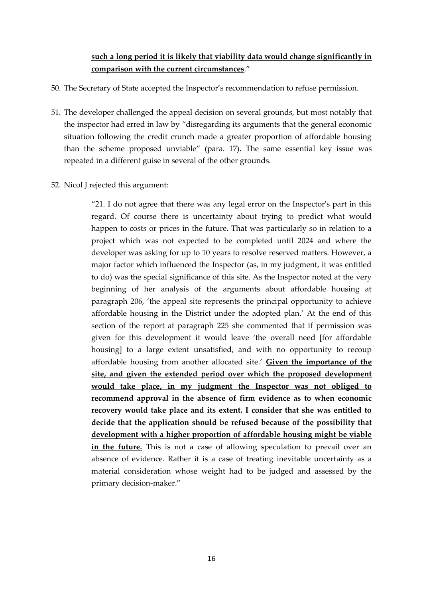### **such a long period it is likely that viability data would change significantly in comparison with the current circumstances**.'

- 50. The Secretary of State accepted the Inspector's recommendation to refuse permission.
- 51. The developer challenged the appeal decision on several grounds, but most notably that the inspector had erred in law by 'disregarding its arguments that the general economic situation following the credit crunch made a greater proportion of affordable housing than the scheme proposed unviable' (para. 17). The same essential key issue was repeated in a different guise in several of the other grounds.
- 52. Nicol J rejected this argument:

'21. I do not agree that there was any legal error on the Inspector's part in this regard. Of course there is uncertainty about trying to predict what would happen to costs or prices in the future. That was particularly so in relation to a project which was not expected to be completed until 2024 and where the developer was asking for up to 10 years to resolve reserved matters. However, a major factor which influenced the Inspector (as, in my judgment, it was entitled to do) was the special significance of this site. As the Inspector noted at the very beginning of her analysis of the arguments about affordable housing at paragraph 206, 'the appeal site represents the principal opportunity to achieve affordable housing in the District under the adopted plan.' At the end of this section of the report at paragraph 225 she commented that if permission was given for this development it would leave 'the overall need [for affordable housing] to a large extent unsatisfied, and with no opportunity to recoup affordable housing from another allocated site.' **Given the importance of the site, and given the extended period over which the proposed development would take place, in my judgment the Inspector was not obliged to recommend approval in the absence of firm evidence as to when economic recovery would take place and its extent. I consider that she was entitled to decide that the application should be refused because of the possibility that development with a higher proportion of affordable housing might be viable in the future.** This is not a case of allowing speculation to prevail over an absence of evidence. Rather it is a case of treating inevitable uncertainty as a material consideration whose weight had to be judged and assessed by the primary decision-maker.'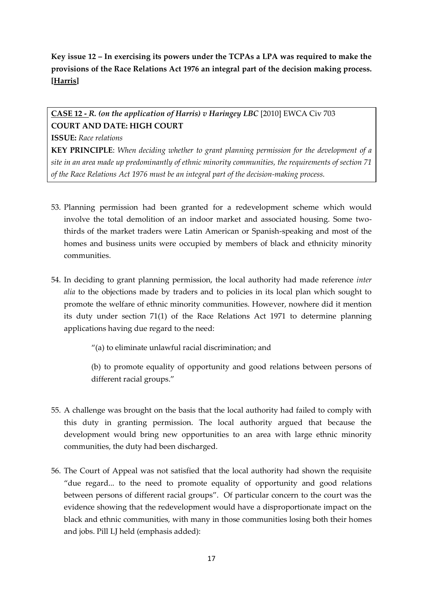# **Key issue 12 – In exercising its powers under the TCPAs a LPA was required to make the provisions of the Race Relations Act 1976 an integral part of the decision making process. [Harris]**

# **CASE 12 -** *R. (on the application of Harris) v Haringey LBC* [2010] EWCA Civ 703 **COURT AND DATE: HIGH COURT**

**ISSUE:** *Race relations*

**KEY PRINCIPLE**: *When deciding whether to grant planning permission for the development of a site in an area made up predominantly of ethnic minority communities, the requirements of section 71 of the Race Relations Act 1976 must be an integral part of the decision-making process.* 

- 53. Planning permission had been granted for a redevelopment scheme which would involve the total demolition of an indoor market and associated housing. Some twothirds of the market traders were Latin American or Spanish-speaking and most of the homes and business units were occupied by members of black and ethnicity minority communities.
- 54. In deciding to grant planning permission, the local authority had made reference *inter alia* to the objections made by traders and to policies in its local plan which sought to promote the welfare of ethnic minority communities. However, nowhere did it mention its duty under section 71(1) of the Race Relations Act 1971 to determine planning applications having due regard to the need:

'(a) to eliminate unlawful racial discrimination; and

(b) to promote equality of opportunity and good relations between persons of different racial groups.'

- 55. A challenge was brought on the basis that the local authority had failed to comply with this duty in granting permission. The local authority argued that because the development would bring new opportunities to an area with large ethnic minority communities, the duty had been discharged.
- 56. The Court of Appeal was not satisfied that the local authority had shown the requisite 'due regard... to the need to promote equality of opportunity and good relations between persons of different racial groups'. Of particular concern to the court was the evidence showing that the redevelopment would have a disproportionate impact on the black and ethnic communities, with many in those communities losing both their homes and jobs. Pill LJ held (emphasis added):